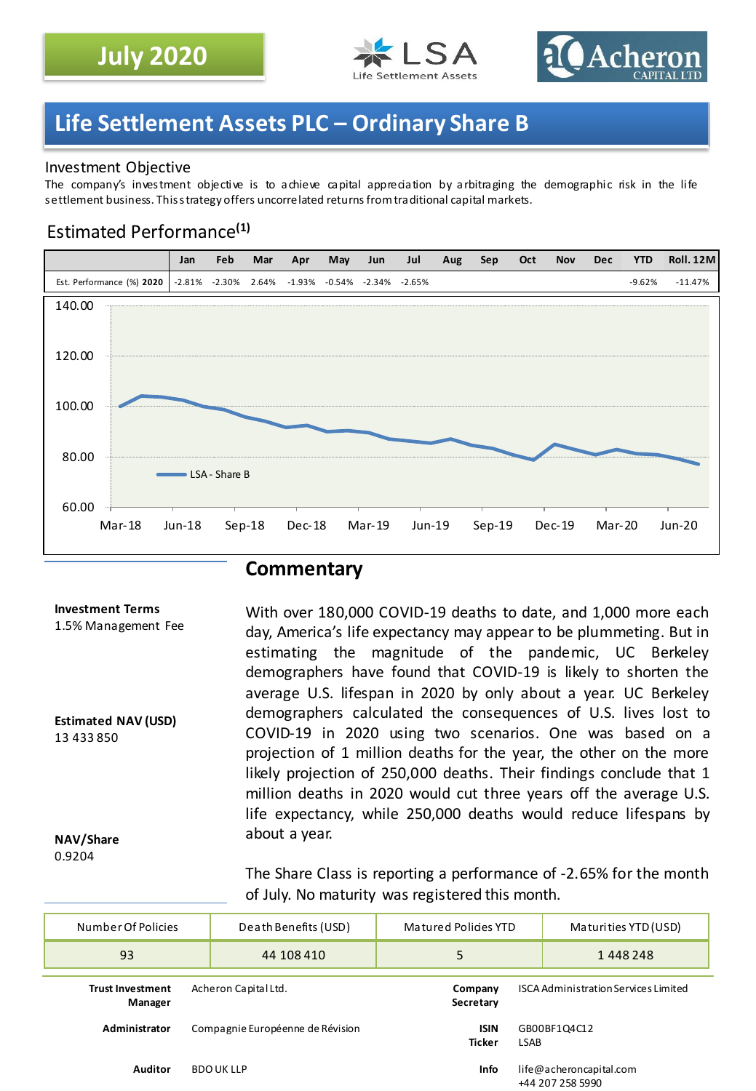



## **Life Settlement Assets PLC – Ordinary Share B**

#### Investment Objective

The company's investment objective is to achieve capital appreciation by arbitraging the demographic risk in the life settlement business. Thisstrategy offers uncorrelated returns fromtraditional capital markets.

### Estimated Performance**(1)**



### **Commentary**

#### **Investment Terms**

1.5% Management Fee

**Estimated NAV (USD)** 13 433 850

day, America's life expectancy may appear to be plummeting. But in estimating the magnitude of the pandemic, UC Berkeley demographers have found that COVID-19 is likely to shorten the average U.S. lifespan in 2020 by only about a year. UC Berkeley demographers calculated the consequences of U.S. lives lost to COVID-19 in 2020 using two scenarios. One was based on a projection of 1 million deaths for the year, the other on the more likely projection of 250,000 deaths. Their findings conclude that 1 million deaths in 2020 would cut three years off the average U.S. life expectancy, while 250,000 deaths would reduce lifespans by about a year.

With over 180,000 COVID-19 deaths to date, and 1,000 more each

#### **NAV/Share** 0.9204

The Share Class is reporting a performance of -2.65% for the month of July. No maturity was registered this month.

| Number Of Policies                 | Death Benefits (USD)<br>Matured Policies YTD                                  |                                                      | Maturities YTD (USD)                        |  |
|------------------------------------|-------------------------------------------------------------------------------|------------------------------------------------------|---------------------------------------------|--|
| 93                                 | 44 108 410                                                                    | 5                                                    | 1448248                                     |  |
| <b>Trust Investment</b><br>Manager | Acheron Capital Ltd.                                                          | Company<br>Secretary                                 | <b>ISCA Administration Services Limited</b> |  |
| Administrator                      | Compagnie Européenne de Révision                                              | <b>ISIN</b><br>GB00BF1Q4C12<br>Ticker<br><b>LSAB</b> |                                             |  |
| Auditor                            | <b>Info</b><br>life@acheroncapital.com<br><b>BDOUKLLP</b><br>+44 207 258 5990 |                                                      |                                             |  |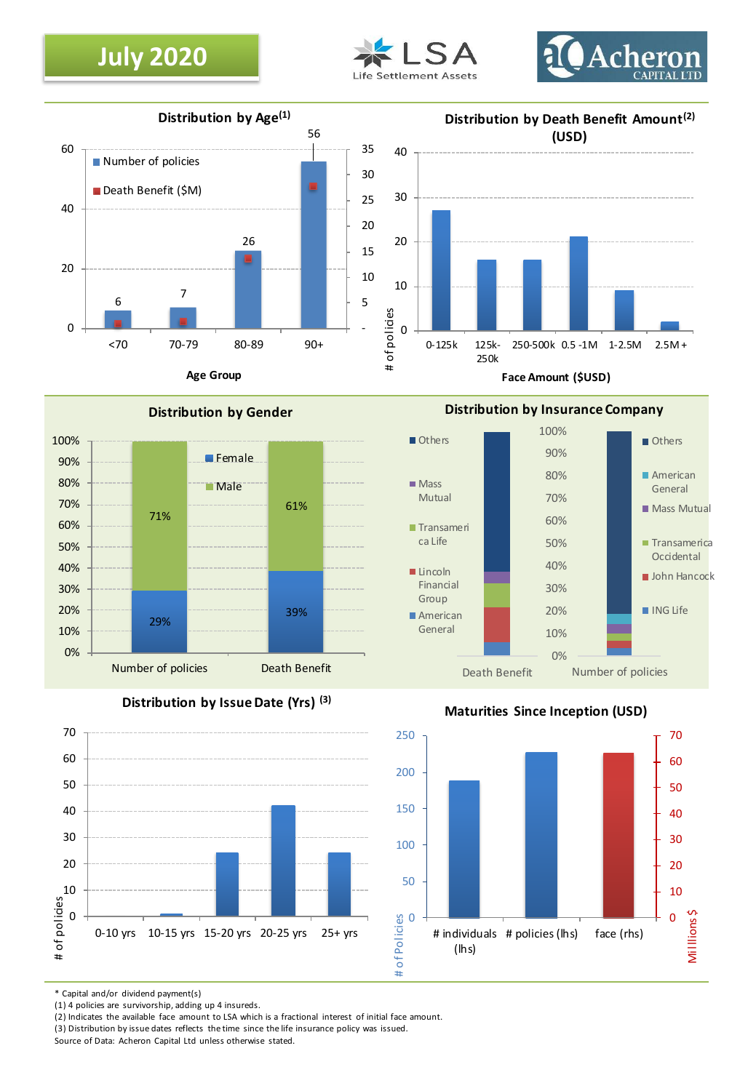## **July 2020**









**Distribution by Issue Date (Yrs) (3)**



#### **Maturities Since Inception (USD)**



\* Capital and/or dividend payment(s)

(1) 4 policies are survivorship, adding up 4 insureds.

(2) Indicates the available face amount to LSA which is a fractional interest of initial face amount.

(3) Distribution by issue dates reflects the time since the life insurance policy was issued.

Source of Data: Acheron Capital Ltd unless otherwise stated.

### **Distribution by Insurance Company**